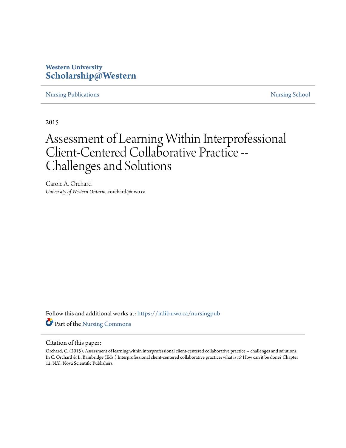# **Western University [Scholarship@Western](https://ir.lib.uwo.ca/?utm_source=ir.lib.uwo.ca%2Fnursingpub%2F285&utm_medium=PDF&utm_campaign=PDFCoverPages)**

[Nursing Publications](https://ir.lib.uwo.ca/nursingpub?utm_source=ir.lib.uwo.ca%2Fnursingpub%2F285&utm_medium=PDF&utm_campaign=PDFCoverPages) **[Nursing School](https://ir.lib.uwo.ca/nursing?utm_source=ir.lib.uwo.ca%2Fnursingpub%2F285&utm_medium=PDF&utm_campaign=PDFCoverPages)** 

2015

# Assessment of Learning Within Interprofessional Client-Centered Collaborative Practice -- Challenges and Solutions

Carole A. Orchard *University of Western Ontario*, corchard@uwo.ca

Follow this and additional works at: [https://ir.lib.uwo.ca/nursingpub](https://ir.lib.uwo.ca/nursingpub?utm_source=ir.lib.uwo.ca%2Fnursingpub%2F285&utm_medium=PDF&utm_campaign=PDFCoverPages) Part of the [Nursing Commons](http://network.bepress.com/hgg/discipline/718?utm_source=ir.lib.uwo.ca%2Fnursingpub%2F285&utm_medium=PDF&utm_campaign=PDFCoverPages)

#### Citation of this paper:

Orchard, C. (2015). Assessment of learning within interprofessional client-centered collaborative practice -- challenges and solutions. In C. Orchard & L. Bainbridge (Eds.) Interprofessional client-centered collaborative practice: what is it? How can it be done? Chapter 12. N.Y.: Nova Scientific Publishers.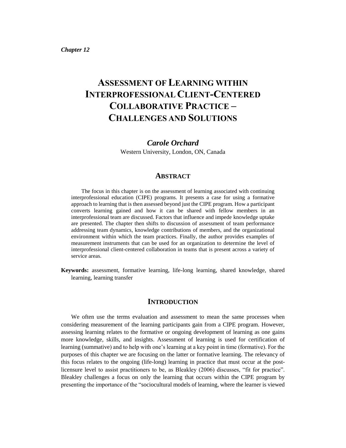# **ASSESSMENT OF LEARNING WITHIN INTERPROFESSIONAL CLIENT-CENTERED COLLABORATIVE PRACTICE – CHALLENGES AND SOLUTIONS**

# *Carole Orchard*

Western University, London, ON, Canada

#### **ABSTRACT**

The focus in this chapter is on the assessment of learning associated with continuing interprofessional education (CIPE) programs. It presents a case for using a formative approach to learning that is then assessed beyond just the CIPE program. How a participant converts learning gained and how it can be shared with fellow members in an interprofessional team are discussed. Factors that influence and impede knowledge uptake are presented. The chapter then shifts to discussion of assessment of team performance addressing team dynamics, knowledge contributions of members, and the organizational environment within which the team practices. Finally, the author provides examples of measurement instruments that can be used for an organization to determine the level of interprofessional client-centered collaboration in teams that is present across a variety of service areas.

**Keywords:** assessment, formative learning, life-long learning, shared knowledge, shared learning, learning transfer

# **INTRODUCTION**

We often use the terms evaluation and assessment to mean the same processes when considering measurement of the learning participants gain from a CIPE program. However, assessing learning relates to the formative or ongoing development of learning as one gains more knowledge, skills, and insights. Assessment of learning is used for certification of learning (summative) and to help with one's learning at a key point in time (formative). For the purposes of this chapter we are focusing on the latter or formative learning. The relevancy of this focus relates to the ongoing (life-long) learning in practice that must occur at the postlicensure level to assist practitioners to be, as Bleakley (2006) discusses, "fit for practice". Bleakley challenges a focus on only the learning that occurs within the CIPE program by presenting the importance of the "sociocultural models of learning, where the learner is viewed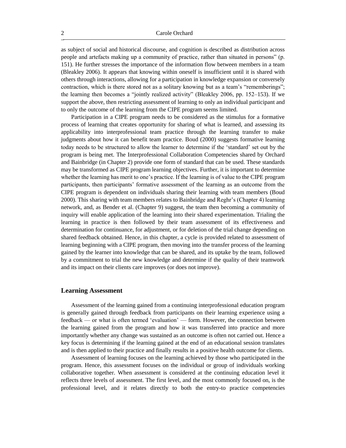as subject of social and historical discourse, and cognition is described as distribution across people and artefacts making up a community of practice, rather than situated in persons" (p. 151). He further stresses the importance of the information flow between members in a team (Bleakley 2006). It appears that knowing within oneself is insufficient until it is shared with others through interactions, allowing for a participation in knowledge expansion or conversely contraction, which is there stored not as a solitary knowing but as a team's "rememberings"; the learning then becomes a "jointly realized activity" (Bleakley 2006, pp. 152–153). If we support the above, then restricting assessment of learning to only an individual participant and to only the outcome of the learning from the CIPE program seems limited.

Participation in a CIPE program needs to be considered as the stimulus for a formative process of learning that creates opportunity for sharing of what is learned, and assessing its applicability into interprofessional team practice through the learning transfer to make judgments about how it can benefit team practice. Boud (2000) suggests formative learning today needs to be structured to allow the learner to determine if the 'standard' set out by the program is being met. The Interprofessional Collaboration Competencies shared by Orchard and Bainbridge (in Chapter 2) provide one form of standard that can be used. These standards may be transformed as CIPE program learning objectives. Further, it is important to determine whether the learning has merit to one's practice. If the learning is of value to the CIPE program participants, then participants' formative assessment of the learning as an outcome from the CIPE program is dependent on individuals sharing their learning with team members (Boud 2000). This sharing with team members relates to Bainbridge and Reghr's (Chapter 4) learning network, and, as Bender et al. (Chapter 9) suggest, the team then becoming a community of inquiry will enable application of the learning into their shared experimentation. Trialing the learning in practice is then followed by their team assessment of its effectiveness and determination for continuance, for adjustment, or for deletion of the trial change depending on shared feedback obtained. Hence, in this chapter, a cycle is provided related to assessment of learning beginning with a CIPE program, then moving into the transfer process of the learning gained by the learner into knowledge that can be shared, and its uptake by the team, followed by a commitment to trial the new knowledge and determine if the quality of their teamwork and its impact on their clients care improves (or does not improve).

#### **Learning Assessment**

Assessment of the learning gained from a continuing interprofessional education program is generally gained through feedback from participants on their learning experience using a feedback — or what is often termed 'evaluation' — form. However, the connection between the learning gained from the program and how it was transferred into practice and more importantly whether any change was sustained as an outcome is often not carried out. Hence a key focus is determining if the learning gained at the end of an educational session translates and is then applied to their practice and finally results in a positive health outcome for clients.

Assessment of learning focuses on the learning achieved by those who participated in the program. Hence, this assessment focuses on the individual or group of individuals working collaborative together. When assessment is considered at the continuing education level it reflects three levels of assessment. The first level, and the most commonly focused on, is the professional level, and it relates directly to both the entry-to practice competencies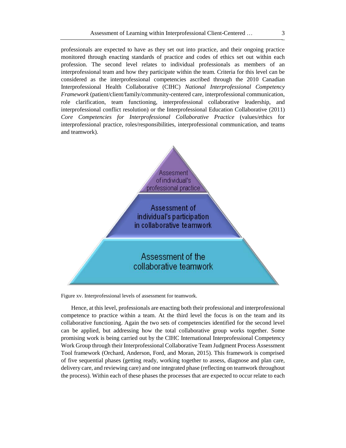professionals are expected to have as they set out into practice, and their ongoing practice monitored through enacting standards of practice and codes of ethics set out within each profession. The second level relates to individual professionals as members of an interprofessional team and how they participate within the team. Criteria for this level can be considered as the interprofessional competencies ascribed through the 2010 Canadian Interprofessional Health Collaborative (CIHC) *National Interprofessional Competency Framework* (patient/client/family/community-centered care, interprofessional communication, role clarification, team functioning, interprofessional collaborative leadership, and interprofessional conflict resolution) or the Interprofessional Education Collaborative (2011) *Core Competencies for Interprofessional Collaborative Practice* (values/ethics for interprofessional practice, roles/responsibilities, interprofessional communication, and teams and teamwork).



Figure xv. Interprofessional levels of assessment for teamwork.

Hence, at this level, professionals are enacting both their professional and interprofessional competence to practice within a team. At the third level the focus is on the team and its collaborative functioning. Again the two sets of competencies identified for the second level can be applied, but addressing how the total collaborative group works together. Some promising work is being carried out by the CIHC International Interprofessional Competency Work Group through their Interprofessional Collaborative Team Judgment Process Assessment Tool framework (Orchard, Anderson, Ford, and Moran, 2015). This framework is comprised of five sequential phases (getting ready, working together to assess, diagnose and plan care, delivery care, and reviewing care) and one integrated phase (reflecting on teamwork throughout the process). Within each of these phases the processes that are expected to occur relate to each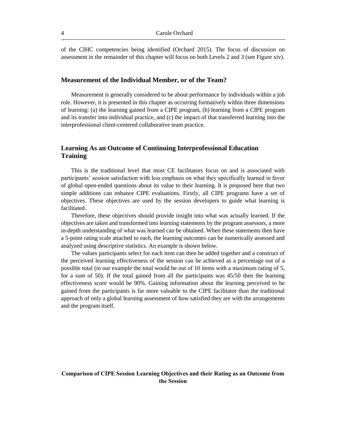of the CIHC competencies being identified (Orchard 2015). The focus of discussion on assessment in the remainder of this chapter will focus on both Levels 2 and 3 (see Figure xiv).

#### **Measurement of the Individual Member, or of the Team?**

Measurement is generally considered to be about performance by individuals within a job role. However, it is presented in this chapter as occurring formatively within three dimensions of learning: (a) the learning gained from a CIPE program, (b) learning from a CIPE program and its transfer into individual practice, and (c) the impact of that transferred learning into the interprofessional client-centered collaborative team practice.

# **Learning As an Outcome of Continuing Interprofessional Education Training**

This is the traditional level that most CE facilitators focus on and is associated with participants' session satisfaction with less emphasis on what they specifically learned in favor of global open-ended questions about its value to their learning. It is proposed here that two simple additions can enhance CIPE evaluations. Firstly, all CIPE programs have a set of objectives. These objectives are used by the session developers to guide what learning is facilitated.

Therefore, these objectives should provide insight into what was actually learned. If the objectives are taken and transformed into learning statements by the program assessors, a more in-depth understanding of what was learned can be obtained. When these statements then have a 5-point rating scale attached to each, the learning outcomes can be numerically assessed and analyzed using descriptive statistics. An example is shown below.

The values participants select for each item can then be added together and a construct of the perceived learning effectiveness of the session can be achieved as a percentage out of a possible total (in our example the total would be out of 10 items with a maximum rating of 5, for a sum of 50). If the total gained from all the participants was 45/50 then the learning effectiveness score would be 90%. Gaining information about the learning perceived to be gained from the participants is far more valuable to the CIPE facilitator than the traditional approach of only a global learning assessment of how satisfied they are with the arrangements and the program itself.

# **Comparison of CIPE Session Learning Objectives and their Rating as an Outcome from the Session**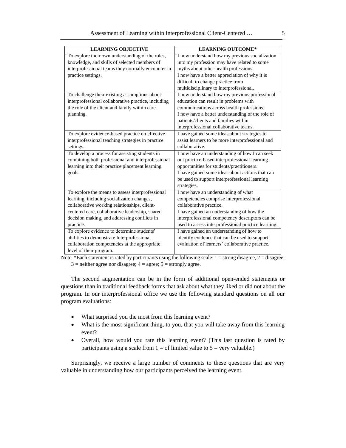| <b>LEARNING OBJECTIVE</b>                           | <b>LEARNING OUTCOME*</b>                            |
|-----------------------------------------------------|-----------------------------------------------------|
| To explore their own understanding of the roles,    | I now understand how my previous socialization      |
| knowledge, and skills of selected members of        | into my profession may have related to some         |
| interprofessional teams they normally encounter in  | myths about other health professions.               |
| practice settings.                                  | I now have a better appreciation of why it is       |
|                                                     | difficult to change practice from                   |
|                                                     | multidisciplinary to interprofessional.             |
| To challenge their existing assumptions about       | I now understand how my previous professional       |
| interprofessional collaborative practice, including | education can result in problems with               |
| the role of the client and family within care       | communications across health professions.           |
| planning.                                           | I now have a better understanding of the role of    |
|                                                     | patients/clients and families within                |
|                                                     | interprofessional collaborative teams.              |
| To explore evidence-based practice on effective     | I have gained some ideas about strategies to        |
| interprofessional teaching strategies in practice   | assist learners to be more interprofessional and    |
| settings.                                           | collaborative.                                      |
| To develop a process for assisting students in      | I now have an understanding of how I can seek       |
| combining both professional and interprofessional   | out practice-based interprofessional learning       |
| learning into their practice placement learning     | opportunities for students/practitioners.           |
| goals.                                              | I have gained some ideas about actions that can     |
|                                                     | be used to support interprofessional learning       |
|                                                     | strategies.                                         |
| To explore the means to assess interprofessional    | I now have an understanding of what                 |
| learning, including socialization changes,          | competencies comprise interprofessional             |
| collaborative working relationships, client-        | collaborative practice.                             |
| centered care, collaborative leadership, shared     | I have gained an understanding of how the           |
| decision making, and addressing conflicts in        | interprofessional competency descriptors can be     |
| practice.                                           | used to assess interprofessional practice learning. |
| To explore evidence to determine students'          | I have gained an understanding of how to            |
| abilities to demonstrate Interprofessional          | identify evidence that can be used to support       |
| collaboration competencies at the appropriate       | evaluation of learners' collaborative practice.     |
| level of their program.                             |                                                     |

Note. \*Each statement is rated by participants using the following scale:  $1 =$  strong disagree,  $2 =$  disagree;  $3$  = neither agree nor disagree;  $4$  = agree;  $5$  = strongly agree.

The second augmentation can be in the form of additional open-ended statements or questions than in traditional feedback forms that ask about what they liked or did not about the program. In our interprofessional office we use the following standard questions on all our program evaluations:

- What surprised you the most from this learning event?
- What is the most significant thing, to you, that you will take away from this learning event?
- Overall, how would you rate this learning event? (This last question is rated by participants using a scale from  $1 =$  of limited value to  $5 =$  very valuable.)

Surprisingly, we receive a large number of comments to these questions that are very valuable in understanding how our participants perceived the learning event.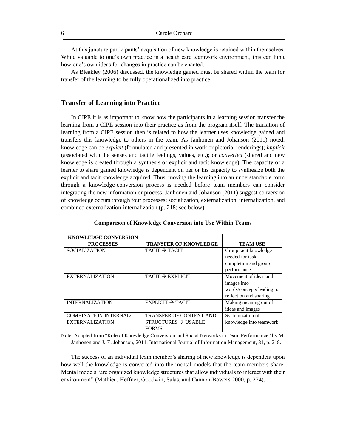At this juncture participants' acquisition of new knowledge is retained within themselves. While valuable to one's own practice in a health care teamwork environment, this can limit how one's own ideas for changes in practice can be enacted.

As Bleakley (2006) discussed, the knowledge gained must be shared within the team for transfer of the learning to be fully operationalized into practice.

#### **Transfer of Learning into Practice**

In CIPE it is as important to know how the participants in a learning session transfer the learning from a CIPE session into their practice as from the program itself. The transition of learning from a CIPE session then is related to how the learner uses knowledge gained and transfers this knowledge to others in the team. As Janhonen and Johanson (2011) noted, knowledge can be *explicit* (formulated and presented in work or pictorial renderings); *implicit* (associated with the senses and tactile feelings, values, etc.); or *converted* (shared and new knowledge is created through a synthesis of explicit and tacit knowledge). The capacity of a learner to share gained knowledge is dependent on her or his capacity to synthesize both the explicit and tacit knowledge acquired. Thus, moving the learning into an understandable form through a knowledge-conversion process is needed before team members can consider integrating the new information or process. Janhonen and Johanson (2011) suggest conversion of knowledge occurs through four processes: socialization, externalization, internalization, and combined externalization-internalization (p. 218; see below).

| <b>KNOWLEDGE CONVERSION</b> |                                 |                           |
|-----------------------------|---------------------------------|---------------------------|
| <b>PROCESSES</b>            | <b>TRANSFER OF KNOWLEDGE</b>    | <b>TEAM USE</b>           |
| <b>SOCIALIZATION</b>        | TACIT $\rightarrow$ TACIT       | Group tacit knowledge     |
|                             |                                 | needed for task           |
|                             |                                 | completion and group      |
|                             |                                 | performance               |
| <b>EXTERNALIZATION</b>      | $TACIT \rightarrow EXPLICIT$    | Movement of ideas and     |
|                             |                                 | images into               |
|                             |                                 | words/concepts leading to |
|                             |                                 | reflection and sharing    |
| <b>INTERNALIZATION</b>      | $EXPLICIT \rightarrow TACIT$    | Making meaning out of     |
|                             |                                 | ideas and images          |
| COMBINATION-INTERNAL/       | <b>TRANSFER OF CONTENT AND</b>  | Systemization of          |
| <b>EXTERNALIZATION</b>      | STRUCTURES $\rightarrow$ USABLE | knowledge into teamwork   |
|                             | <b>FORMS</b>                    |                           |

#### **Comparison of Knowledge Conversion into Use Within Teams**

Note. Adapted from "Role of Knowledge Conversion and Social Networks in Team Performance" by M. Janhonen and J.-E. Johanson, 2011, International Journal of Information Management, 31, p. 218.

The success of an individual team member's sharing of new knowledge is dependent upon how well the knowledge is converted into the mental models that the team members share. Mental models "are organized knowledge structures that allow individuals to interact with their environment" (Mathieu, Heffner, Goodwin, Salas, and Cannon-Bowers 2000, p. 274).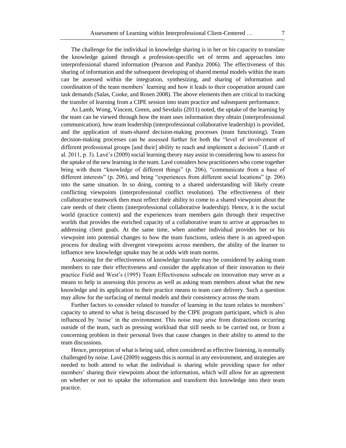The challenge for the individual in knowledge sharing is in her or his capacity to translate the knowledge gained through a profession-specific set of terms and approaches into interprofessional shared information (Pearson and Pandya 2006). The effectiveness of this sharing of information and the subsequent developing of shared mental models within the team can be assessed within the integration, synthesizing, and sharing of information and coordination of the team members' learning and how it leads to their cooperation around care task demands (Salas, Cooke, and Rosen 2008). The above elements then are critical to tracking the transfer of learning from a CIPE session into team practice and subsequent performance.

As Lamb, Wong, Vincent, Green, and Sevdalis (2011) noted, the uptake of the learning by the team can be viewed through how the team uses information they obtain (interprofessional communication), how team leadership (interprofessional collaborative leadership) is provided, and the application of team-shared decision-making processes (team functioning). Team decision-making processes can be assessed further for both the "level of involvement of different professional groups [and their] ability to reach and implement a decision" (Lamb et al. 2011, p. 3). Lavé's (2009) social learning theory may assist in considering how to assess for the uptake of the new learning in the team. Lavé considers how practitioners who come together bring with them "knowledge of different things" (p. 206), "communicate from a base of different interests" (p. 206), and bring "experiences from different social locations" (p. 206) into the same situation. In so doing, coming to a shared understanding will likely create conflicting viewpoints (interprofessional conflict resolution). The effectiveness of their collaborative teamwork then must reflect their ability to come to a shared viewpoint about the care needs of their clients (interprofessional collaborative leadership). Hence, it is the social world (practice context) and the experiences team members gain through their respective worlds that provides the enriched capacity of a collaborative team to arrive at approaches to addressing client goals. At the same time, when another individual provides her or his viewpoint into potential changes to how the team functions, unless there is an agreed-upon process for dealing with divergent viewpoints across members, the ability of the learner to influence new knowledge uptake may be at odds with team norms.

Assessing for the effectiveness of knowledge transfer may be considered by asking team members to rate their effectiveness and consider the application of their innovation to their practice Field and West's (1995) Team Effectiveness subscale on innovation may serve as a means to help in assessing this process as well as asking team members about what the new knowledge and its application to their practice means to team care delivery. Such a question may allow for the surfacing of mental models and their consistency across the team.

Further factors to consider related to transfer of learning in the team relates to members' capacity to attend to what is being discussed by the CIPE program participant, which is also influenced by 'noise' in the environment. This noise may arise from distractions occurring outside of the team, such as pressing workload that still needs to be carried out, or from a concerning problem in their personal lives that cause changes in their ability to attend to the team discussions.

Hence, perception of what is being said, often considered as effective listening, is normally challenged by noise. Lavé (2009) suggests this is normal in any environment, and strategies are needed to both attend to what the individual is sharing while providing space for other members' sharing their viewpoints about the information, which will allow for an agreement on whether or not to uptake the information and transform this knowledge into their team practice.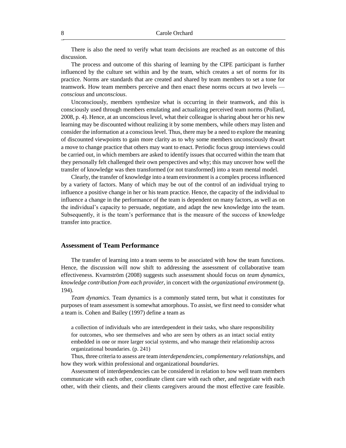There is also the need to verify what team decisions are reached as an outcome of this discussion.

The process and outcome of this sharing of learning by the CIPE participant is further influenced by the culture set within and by the team, which creates a set of norms for its practice. Norms are standards that are created and shared by team members to set a tone for teamwork. How team members perceive and then enact these norms occurs at two levels *conscious* and *unconscious*.

Unconsciously, members synthesize what is occurring in their teamwork, and this is consciously used through members emulating and actualizing perceived team norms (Pollard, 2008, p. 4). Hence, at an unconscious level, what their colleague is sharing about her or his new learning may be discounted without realizing it by some members, while others may listen and consider the information at a conscious level. Thus, there may be a need to explore the meaning of discounted viewpoints to gain more clarity as to why some members unconsciously thwart a move to change practice that others may want to enact. Periodic focus group interviews could be carried out, in which members are asked to identify issues that occurred within the team that they personally felt challenged their own perspectives and why; this may uncover how well the transfer of knowledge was then transformed (or not transformed) into a team mental model.

Clearly, the transfer of knowledge into a team environment is a complex process influenced by a variety of factors. Many of which may be out of the control of an individual trying to influence a positive change in her or his team practice. Hence, the capacity of the individual to influence a change in the performance of the team is dependent on many factors, as well as on the individual's capacity to persuade, negotiate, and adapt the new knowledge into the team. Subsequently, it is the team's performance that is the measure of the success of knowledge transfer into practice.

#### **Assessment of Team Performance**

The transfer of learning into a team seems to be associated with how the team functions. Hence, the discussion will now shift to addressing the assessment of collaborative team effectiveness. Kvarnström (2008) suggests such assessment should focus on *team dynamics*, *knowledge contribution from each provider*, in concert with the *organizational environment* (p. 194).

*Team dynamics.* Team dynamics is a commonly stated term, but what it constitutes for purposes of team assessment is somewhat amorphous. To assist, we first need to consider what a team is. Cohen and Bailey (1997) define a team as

a collection of individuals who are interdependent in their tasks, who share responsibility for outcomes, who see themselves and who are seen by others as an intact social entity embedded in one or more larger social systems, and who manage their relationship across organizational boundaries. (p. 241)

Thus, three criteria to assess are team *interdependencies*, *complementary relationships*, and how they work within professional and organizational *boundaries*.

Assessment of interdependencies can be considered in relation to how well team members communicate with each other, coordinate client care with each other, and negotiate with each other, with their clients, and their clients caregivers around the most effective care feasible.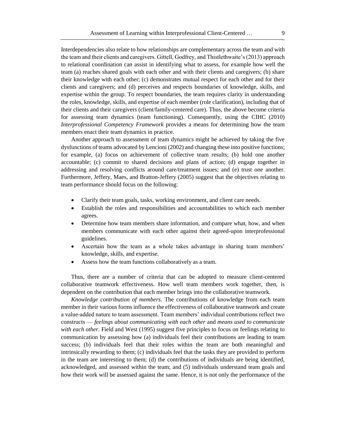Interdependencies also relate to how relationships are complementary across the team and with the team and their clients and caregivers. Gittell, Godfrey, and Thistlethwaite's (2013) approach to relational coordination can assist in identifying what to assess, for example how well the team (a) reaches shared goals with each other and with their clients and caregivers; (b) share their knowledge with each other; (c) demonstrates mutual respect for each other and for their clients and caregivers; and (d) perceives and respects boundaries of knowledge, skills, and expertise within the group. To respect boundaries, the team requires clarity in understanding the roles, knowledge, skills, and expertise of each member (role clarification), including that of their clients and their caregivers (client/family-centered care). Thus, the above become criteria for assessing team dynamics (team functioning). Consequently, using the CIHC (2010) *Interprofessional Competency Framework* provides a means for determining how the team members enact their team dynamics in practice.

Another approach to assessment of team dynamics might be achieved by taking the five dysfunctions of teams advocated by Lencioni (2002) and changing these into positive functions; for example, (a) focus on achievement of collective team results; (b) hold one another accountable; (c) commit to shared decisions and plans of action; (d) engage together in addressing and resolving conflicts around care/treatment issues; and (e) trust one another. Furthermore, Jeffery, Maes, and Bratton-Jeffery (2005) suggest that the objectives relating to team performance should focus on the following:

- Clarify their team goals, tasks, working environment, and client care needs.
- Establish the roles and responsibilities and accountabilities to which each member agrees.
- Determine how team members share information, and compare what, how, and when members communicate with each other against their agreed-upon interprofessional guidelines.
- Ascertain how the team as a whole takes advantage in sharing team members' knowledge, skills, and expertise.
- Assess how the team functions collaboratively as a team.

Thus, there are a number of criteria that can be adopted to measure client-centered collaborative teamwork effectiveness. How well team members work together, then, is dependent on the contribution that each member brings into the collaborative teamwork.

*Knowledge contribution of members.* The contributions of knowledge from each team member in their various forms influence the effectiveness of collaborative teamwork and create a value-added nature to team assessment. Team members' individual contributions reflect two constructs — *feelings about communicating with each other* and *means used to communicate with each other*. Field and West (1995) suggest five principles to focus on feelings relating to communication by assessing how (a) individuals feel their contributions are leading to team success; (b) individuals feel that their roles within the team are both meaningful and intrinsically rewarding to them; (c) individuals feel that the tasks they are provided to perform in the team are interesting to them; (d) the contributions of individuals are being identified, acknowledged, and assessed within the team; and (5) individuals understand team goals and how their work will be assessed against the same. Hence, it is not only the performance of the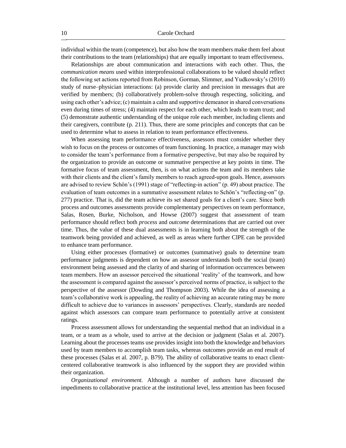individual within the team (competence), but also how the team members make them feel about their contributions to the team (relationships) that are equally important to team effectiveness.

Relationships are about communication and interactions with each other. Thus, the *communication means* used within interprofessional collaborations to be valued should reflect the following set actions reported from Robinson, Gorman, Slimmer, and Yudkowsky's (2010) study of nurse–physician interactions: (a) provide clarity and precision in messages that are verified by members; (b) collaboratively problem-solve through respecting, soliciting, and using each other's advice; (c) maintain a calm and supportive demeanor in shared conversations even during times of stress; (4) maintain respect for each other, which leads to team trust; and (5) demonstrate authentic understanding of the unique role each member, including clients and their caregivers, contribute (p. 211). Thus, there are some principles and concepts that can be used to determine what to assess in relation to team performance effectiveness.

When assessing team performance effectiveness, assessors must consider whether they wish to focus on the process or outcomes of team functioning. In practice, a manager may wish to consider the team's performance from a formative perspective, but may also be required by the organization to provide an outcome or summative perspective at key points in time. The formative focus of team assessment, then, is on what actions the team and its members take with their clients and the client's family members to reach agreed-upon goals. Hence, assessors are advised to review Schön's (1991) stage of "reflecting-in action" (p. 49) about practice. The evaluation of team outcomes in a summative assessment relates to Schön's "reflecting-on" (p. 277) practice. That is, did the team achieve its set shared goals for a client's care. Since both process and outcomes assessments provide complementary perspectives on team performance, Salas, Rosen, Burke, Nicholson, and Howse (2007) suggest that assessment of team performance should reflect both *process* and *outcome* determinations that are carried out over time. Thus, the value of these dual assessments is in learning both about the strength of the teamwork being provided and achieved, as well as areas where further CIPE can be provided to enhance team performance.

Using either processes (formative) or outcomes (summative) goals to determine team performance judgments is dependent on how an assessor understands both the social (team) environment being assessed and the clarity of and sharing of information occurrences between team members. How an assessor perceived the situational 'reality' of the teamwork, and how the assessment is compared against the assessor's perceived norms of practice, is subject to the perspective of the assessor (Dowding and Thompson 2003). While the idea of assessing a team's collaborative work is appealing, the reality of achieving an accurate rating may be more difficult to achieve due to variances in assessors' perspectives. Clearly, standards are needed against which assessors can compare team performance to potentially arrive at consistent ratings.

Process assessment allows for understanding the sequential method that an individual in a team, or a team as a whole, used to arrive at the decision or judgment (Salas et al. 2007). Learning about the processes teams use provides insight into both the knowledge and behaviors used by team members to accomplish team tasks, whereas outcomes provide an end result of these processes (Salas et al. 2007, p. B79). The ability of collaborative teams to enact clientcentered collaborative teamwork is also influenced by the support they are provided within their organization.

*Organizational environment.* Although a number of authors have discussed the impediments to collaborative practice at the institutional level, less attention has been focused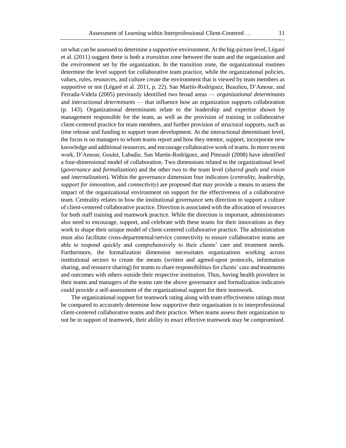on what can be assessed to determine a supportive environment. At the big-picture level, Légaré et al. (2011) suggest there is both a *transition zone* between the team and the organization and the *environment* set by the organization. In the transition zone, the organizational routines determine the level support for collaborative team practice, while the organizational policies, values, rules, resources, and culture create the environment that is viewed by team members as supportive or not (Légaré et al. 2011, p. 22). San Martín-Rodríguez, Beaulieu, D'Amour, and Ferrada-Videla (2005) previously identified two broad areas — *organizational determinants* and *interactional determinants* — that influence how an organization supports collaboration (p. 143). Organizational determinants relate to the leadership and expertise shown by management responsible for the team, as well as the provision of training in collaborative client-centered practice for team members, and further provision of structural supports, such as time release and funding to support team development. At the interactional determinant level, the focus is on managers to whom teams report and how they mentor, support, incorporate new knowledge and additional resources, and encourage collaborative work of teams. In more recent work, D'Amour, Goulet, Labadie, San Martín-Rodríguez, and Pineault (2008) have identified a four-dimensional model of collaboration. Two dimensions related to the organizational level (*governance* and *formalization*) and the other two to the team level (*shared goals and vision* and *internalization*). Within the governance dimension four indicators (*centrality*, *leadership*, *support for innovation*, and *connectivity*) are proposed that may provide a means to assess the impact of the organizational environment on support for the effectiveness of a collaborative team. Centrality relates to how the institutional governance sets direction to support a culture of client-centered collaborative practice. Direction is associated with the allocation of resources for both staff training and teamwork practice. While the direction is important, administrators also need to encourage, support, and celebrate with these teams for their innovations as they work to shape their unique model of client-centered collaborative practice. The administration must also facilitate cross-departmental/service connectivity to ensure collaborative teams are able to respond quickly and comprehensively to their clients' care and treatment needs. Furthermore, the formalization dimension necessitates organizations working across institutional sectors to create the means (written and agreed-upon protocols, information sharing, and resource sharing) for teams to share responsibilities for clients' care and treatments and outcomes with others outside their respective institution. Thus, having health providers in their teams and managers of the teams rate the above governance and formalization indicators

The organizational support for teamwork rating along with team effectiveness ratings must be compared to accurately determine how supportive their organization is to interprofessional client-centered collaborative teams and their practice. When teams assess their organization to not be in support of teamwork, their ability to enact effective teamwork may be compromised.

could provide a self-assessment of the organizational support for their teamwork.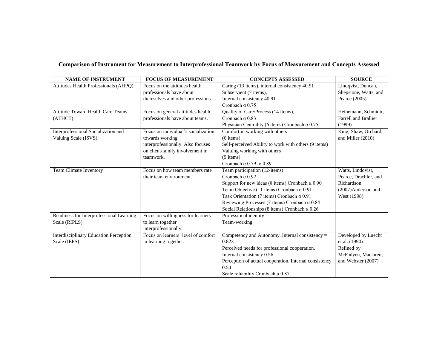# **Comparison of Instrument for Measurement to Interprofessional Teamwork by Focus of Measurement and Concepts Assessed**

| <b>NAME OF INSTRUMENT</b>                     | <b>FOCUS OF MEASUREMENT</b>         | <b>CONCEPTS ASSESSED</b>                               | <b>SOURCE</b>         |
|-----------------------------------------------|-------------------------------------|--------------------------------------------------------|-----------------------|
| Attitudes Health Professionals (AHPO)         | Focus on the attitudes health       | Caring (13 items), internal consistency 40.91          | Lindqvist, Duncan,    |
|                                               | professionals have about            | Subservient (7 items),                                 | Shepstone, Watts, and |
|                                               | themselves and other professions.   | Internal consistency 40.91                             | Pearce (2005)         |
|                                               |                                     | Cronbach $\alpha$ 0.75                                 |                       |
| <b>Attitude Toward Health Care Teams</b>      | Focus on general attitudes health   | Quality of Care/Process (14 items),                    | Heinemann, Schmidtt,  |
| (ATHCT)                                       | professionals have about teams.     | Cronbach $\alpha$ 0.83                                 | Farrell and Brallier  |
|                                               |                                     | Physician Centrality (6 items) Cronbach $\alpha$ 0.75  | (1999)                |
| Interprofessional Socialization and           | Focus on individual's socialization | Comfort in working with others                         | King, Shaw, Orchard,  |
| Valuing Scale (ISVS)                          | towards working                     | $(6$ items)                                            | and Miller (2010)     |
|                                               | interprofessionally. Also focuses   | Self-perceived Ability to work with others (9 items)   |                       |
|                                               | on client/family involvement in     | Valuing working with others                            |                       |
|                                               | teamwork.                           | $(9$ items)                                            |                       |
|                                               |                                     | Cronbach $\alpha$ 0.79 to 0.89.                        |                       |
| <b>Team Climate Inventory</b>                 | Focus on how team members rate      | Team participation (12-items)                          | Watts, Lindqvist,     |
|                                               | their team environment.             | Cronbach $\alpha$ 0.92                                 | Pearce, Drachler, and |
|                                               |                                     | Support for new ideas (8 items) Cronbach $\alpha$ 0.90 | Richardson            |
|                                               |                                     | Team Objective (11 items) Cronbach $\alpha$ 0.91       | (2007)Anderson and    |
|                                               |                                     | Task Orientation (7 items) Cronbach $\alpha$ 0.91      | West (1998)           |
|                                               |                                     | Reviewing Processes (7 items) Cronbach $\alpha$ 0.84   |                       |
|                                               |                                     | Social Relationships (8 items) Cronbach $\alpha$ 0.26  |                       |
| Readiness for Interprofessional Learning      | Focus on willingness for learners   | Professional identity                                  |                       |
| Scale (RIPLS)                                 | to learn together                   | Team-working                                           |                       |
|                                               | interprofessionally.                |                                                        |                       |
| <b>Interdisciplinary Education Perception</b> | Focus on learners' level of comfort | Competency and Autonomy. Internal consistency =        | Developed by Luecht   |
| Scale (IEPS)                                  | in learning together.               | 0.823                                                  | et al. (1990)         |
|                                               |                                     | Perceived needs for professional cooperation.          | Refined by            |
|                                               |                                     | Internal consistency 0.56                              | McFadyen, Maclaren,   |
|                                               |                                     | Perception of actual cooperation. Internal consistency | and Webster (2007)    |
|                                               |                                     | 0.54                                                   |                       |
|                                               |                                     | Scale reliability Cronbach $\alpha$ 0.87               |                       |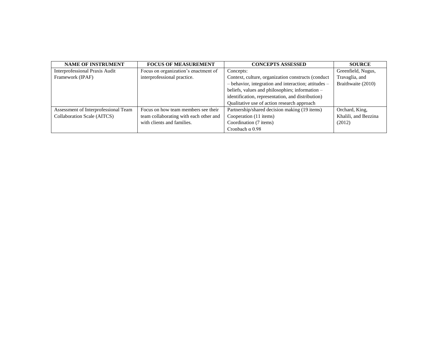| <b>NAME OF INSTRUMENT</b>            | <b>FOCUS OF MEASUREMENT</b>            | <b>CONCEPTS ASSESSED</b>                                 | <b>SOURCE</b>        |
|--------------------------------------|----------------------------------------|----------------------------------------------------------|----------------------|
| Interprofessional Praxis Audit       | Focus on organization's enactment of   | Concepts:                                                | Greenfield, Nugus,   |
| Framework (IPAF)                     | interprofessional practice.            | Context, culture, organization constructs (conduct       | Travaglia, and       |
|                                      |                                        | $-$ behavior, integration and interaction; attitudes $-$ | Braithwaite (2010)   |
|                                      |                                        | beliefs, values and philosophies; information -          |                      |
|                                      |                                        | identification, representation, and distribution)        |                      |
|                                      |                                        | Qualitative use of action research approach              |                      |
| Assessment of Interprofessional Team | Focus on how team members see their    | Partnership/shared decision making (19 items)            | Orchard, King,       |
| Collaboration Scale (AITCS)          | team collaborating with each other and | Cooperation (11 items)                                   | Khalili, and Bezzina |
|                                      | with clients and families.             | Coordination (7 items)                                   | (2012)               |
|                                      |                                        | Cronbach $\alpha$ 0.98                                   |                      |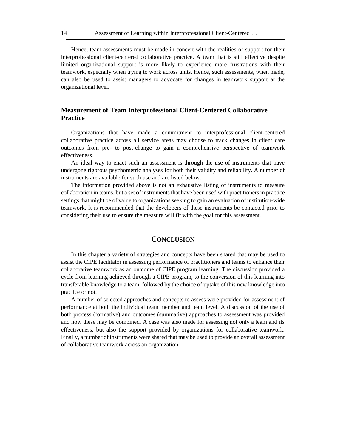Hence, team assessments must be made in concert with the realities of support for their interprofessional client-centered collaborative practice. A team that is still effective despite limited organizational support is more likely to experience more frustrations with their teamwork, especially when trying to work across units. Hence, such assessments, when made, can also be used to assist managers to advocate for changes in teamwork support at the organizational level.

# **Measurement of Team Interprofessional Client-Centered Collaborative Practice**

Organizations that have made a commitment to interprofessional client-centered collaborative practice across all service areas may choose to track changes in client care outcomes from pre- to post-change to gain a comprehensive perspective of teamwork effectiveness.

An ideal way to enact such an assessment is through the use of instruments that have undergone rigorous psychometric analyses for both their validity and reliability. A number of instruments are available for such use and are listed below.

The information provided above is not an exhaustive listing of instruments to measure collaboration in teams, but a set of instruments that have been used with practitioners in practice settings that might be of value to organizations seeking to gain an evaluation of institution-wide teamwork. It is recommended that the developers of these instruments be contacted prior to considering their use to ensure the measure will fit with the goal for this assessment.

# **CONCLUSION**

In this chapter a variety of strategies and concepts have been shared that may be used to assist the CIPE facilitator in assessing performance of practitioners and teams to enhance their collaborative teamwork as an outcome of CIPE program learning. The discussion provided a cycle from learning achieved through a CIPE program, to the conversion of this learning into transferable knowledge to a team, followed by the choice of uptake of this new knowledge into practice or not.

A number of selected approaches and concepts to assess were provided for assessment of performance at both the individual team member and team level. A discussion of the use of both process (formative) and outcomes (summative) approaches to assessment was provided and how these may be combined. A case was also made for assessing not only a team and its effectiveness, but also the support provided by organizations for collaborative teamwork. Finally, a number of instruments were shared that may be used to provide an overall assessment of collaborative teamwork across an organization.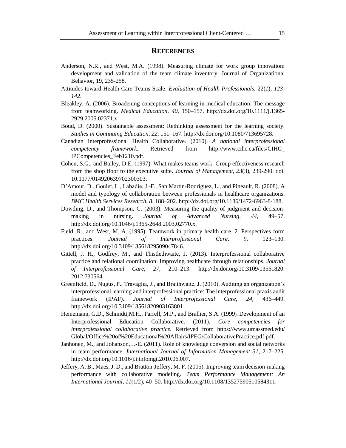#### **REFERENCES**

- Anderson, N.R., and West, M.A. (1998). Measuring climate for work group innovation: development and validation of the team climate inventory. Journal of Organizational Behavior, 19, 235-258.
- Attitudes toward Health Care Teams Scale. *Evaluation of Health Professionals*, 22(*1*), *123 142*.
- Bleakley, A. (2006). Broadening conceptions of learning in medical education: The message from teamworking. *Medical Education, 40*, 150–157. http://dx.doi.org/10.1111/j.1365- 2929.2005.02371.x.
- Boud, D. (2000). Sustainable assessment: Rethinking assessment for the learning society. *Studies in Continuing Education, 22*, 151–167. http://dx.doi.org/10.1080/713695728.
- Canadian Interprofessional Health Collaborative. (2010). *A national interprofessional competency framework.* Retrieved from http://www.cihc.ca/files/CIHC\_ IPCompetencies\_Feb1210.pdf.
- Cohen, S.G., and Bailey, D.E. (1997). What makes teams work: Group effectiveness research from the shop floor to the executive suite. *Journal of Management, 23*(3), 239-290. doi: 10.1177/014920639702300303.
- D'Amour, D., Goulet, L., Labadie, J.-F., San Martín-Rodríguez, L., and Pineault, R. (2008). A model and typology of collaboration between professionals in healthcare organizations. *BMC Health Services Research, 8,* 188–202. http://dx.doi.org/10.1186/1472-6963-8-188.
- Dowding, D., and Thompson, C. (2003). Measuring the quality of judgment and decisionmaking in nursing. *Journal of Advanced Nursing, 44*, 49–57. http://dx.doi.org/10.1046/j.1365-2648.2003.02770.x.
- Field, R., and West, M. A. (1995). Teamwork in primary health care. 2. Perspectives form practices. *Journal of Interprofessional Care, 9*, 123–130. http://dx.doi.org/10.3109/13561829509047846.
- Gittell, J. H., Godfrey, M., and Thistlethwaite, J. (2013). Interprofessional collaborative practice and relational coordination: Improving healthcare through relationships. *Journal of Interprofessional Care, 27*, 210–213. http://dx.doi.org/10.3109/13561820. 2012.730564.
- Greenfield, D., Nugus, P., Travaglia, J., and Braithwaite, J. (2010). Auditing an organization's interprofessional learning and interprofessional practice: The interprofessional praxis audit framework (IPAF). *Journal of Interprofessional Care, 24*, 436–449. http://dx.doi.org/10.3109/13561820903163801
- Heinemann, G.D., Schmidtt,M.H., Farrell, M.P., and Brallier, S.A. (1999). Development of an Interprofessional Education Collaborative. (2011). *Core competencies for interprofessional collaborative practice.* Retrieved from https://www.umassmed.edu/ Global/Office%20of%20Educational%20Affairs/IPEG/CollaborativePractice.pdf.pdf.
- Janhonen, M., and Johanson, J.-E. (2011). Role of knowledge conversion and social networks in team performance. *International Journal of Information Management 31*, 217–225. http://dx.doi.org/10.1016/j.ijinfomgt.2010.06.007.
- Jeffery, A. B., Maes, J. D., and Bratton-Jeffery, M. F. (2005). Improving team decision-making performance with collaborative modeling. *Team Performance Management: An International Journal, 11*(1/2), 40–50. http://dx.doi.org/10.1108/13527590510584311.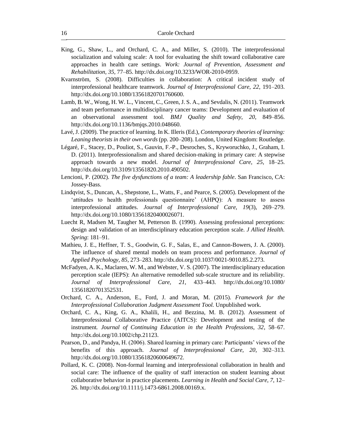- King, G., Shaw, L., and Orchard, C. A., and Miller, S. (2010). The interprofessional socialization and valuing scale: A tool for evaluating the shift toward collaborative care approaches in health care settings. *Work: Journal of Prevention, Assessment and Rehabilitation, 35*, 77–85. http://dx.doi.org/10.3233/WOR-2010-0959.
- Kvarnström, S. (2008). Difficulties in collaboration: A critical incident study of interprofessional healthcare teamwork. *Journal of Interprofessional Care, 22*, 191–203. http://dx.doi.org/10.1080/13561820701760600.
- Lamb, B. W., Wong, H. W. L., Vincent, C., Green, J. S. A., and Sevdalis, N. (2011). Teamwork and team performance in multidisciplinary cancer teams: Development and evaluation of an observational assessment tool. *BMJ Quality and Safety*, *20*, 849–856. http://dx.doi.org/10.1136/bmjqs.2010.048660.
- Lavé, J. (2009). The practice of learning. In K. Illeris (Ed.), *Contemporary theories of learning: Leaning theorists in their own words* (pp. 200–208). London, United Kingdom: Routledge.
- Légaré, F., Stacey, D., Pouliot, S., Gauvin, F.-P., Desroches, S., Kryworuchko, J., Graham, I. D. (2011). Interprofessionalism and shared decision-making in primary care: A stepwise approach towards a new model. *Journal of Interprofessional Care, 25*, 18–25. http://dx.doi.org/10.3109/13561820.2010.490502.
- Lencioni, P. (2002). *The five dysfunctions of a team: A leadership fable*. San Francisco, CA: Jossey-Bass.
- Lindqvist, S., Duncan, A., Shepstone, L., Watts, F., and Pearce, S. (2005). Development of the 'attitudes to health professionals questionnaire' (AHPQ): A measure to assess interprofessional attitudes. *Journal of Interprofessional Care, 19*(3), 269–279. http://dx.doi.org/10.1080/13561820400026071.
- Luecht R, Madsen M, Taugher M, Petterson B. (1990). Assessing professional perceptions: design and validation of an interdisciplinary education perception scale. *J Allied Health. Spring*: 181–91.
- Mathieu, J. E., Heffner, T. S., Goodwin, G. F., Salas, E., and Cannon-Bowers, J. A. (2000). The influence of shared mental models on team process and performance*. Journal of Applied Psychology, 85*, 273–283. http://dx.doi.org/10.1037/0021-9010.85.2.273.
- McFadyen, A. K., Maclaren, W. M., and Webster, V. S. (2007). The interdisciplinary education perception scale (IEPS): An alternative remodelled sub-scale structure and its reliability. *Journal of Interprofessional Care, 21*, 433–443. http://dx.doi.org/10.1080/ 13561820701352531.
- Orchard, C. A., Anderson, E., Ford, J. and Moran, M. (2015). *Framework for the Interprofessional Collaboration Judgment Assessment Tool.* Unpublished work.
- Orchard, C. A., King, G. A., Khalili, H., and Bezzina, M. B. (2012). Assessment of Interprofessional Collaborative Practice (AITCS): Development and testing of the instrument*. Journal of Continuing Education in the Health Professions, 32*, 58–67. http://dx.doi.org/10.1002/chp.21123.
- Pearson, D., and Pandya, H. (2006). Shared learning in primary care: Participants' views of the benefits of this approach. *Journal of Interprofessional Care, 20*, 302–313. http://dx.doi.org/10.1080/13561820600649672.
- Pollard, K. C. (2008). Non-formal learning and interprofessional collaboration in health and social care: The influence of the quality of staff interaction on student learning about collaborative behavior in practice placements. *Learning in Health and Social Care*, *7*, 12– 26. http://dx.doi.org/10.1111/j.1473-6861.2008.00169.x.